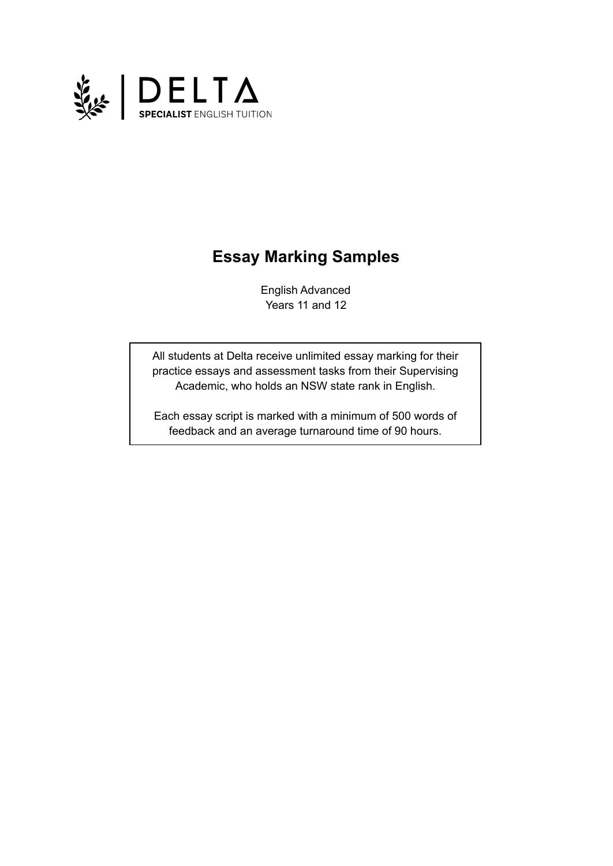

# **Essay Marking Samples**

English Advanced Years 11 and 12

All students at Delta receive unlimited essay marking for their practice essays and assessment tasks from their Supervising Academic, who holds an NSW state rank in English.

Each essay script is marked with a minimum of 500 words of feedback and an average turnaround time of 90 hours.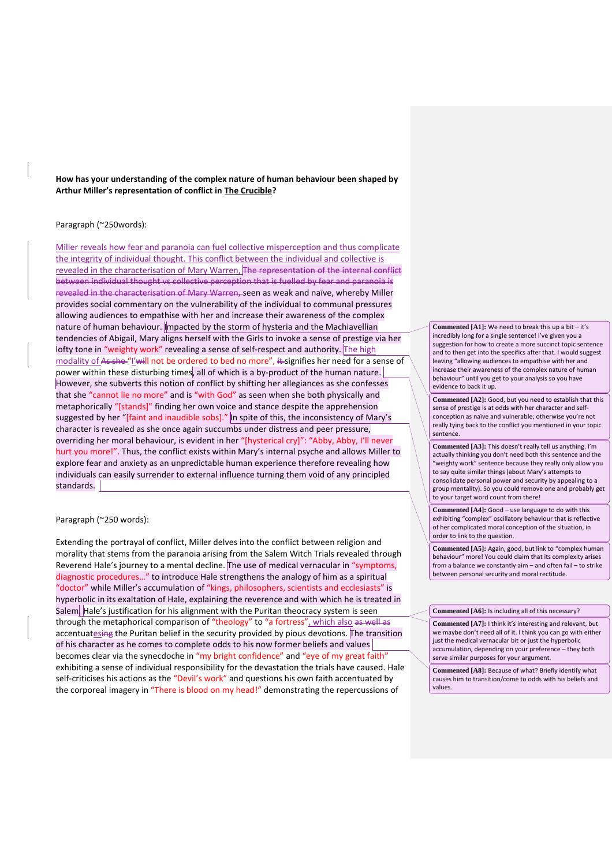**How has your understanding of the complex nature of human behaviour been shaped by Arthur Miller's representation of conflict in The Crucible?**

## Paragraph (~250words):

Miller reveals how fear and paranoia can fuel collective misperception and thus complicate the integrity of individual thought. This conflict between the individual and collective is revealed in the characterisation of Mary Warren, The representation of the internal conflict between individual thought vs collective perception that is fuelled by fear and paranoia is revealed in the characterisation of Mary Warren, seen as weak and naïve, whereby Miller provides social commentary on the vulnerability of the individual to communal pressures allowing audiences to empathise with her and increase their awareness of the complex nature of human behaviour. Impacted by the storm of hysteria and the Machiavellian tendencies of Abigail, Mary aligns herself with the Girls to invoke a sense of prestige via her lofty tone in "weighty work" revealing a sense of self-respect and authority. The high modality of As she "I'will not be ordered to bed no more", it signifies her need for a sense of power within these disturbing times, all of which is a by-product of the human nature. However, she subverts this notion of conflict by shifting her allegiances as she confesses that she "cannot lie no more" and is "with God" as seen when she both physically and metaphorically "[stands]" finding her own voice and stance despite the apprehension suggested by her "[faint and inaudible sobs]." In spite of this, the inconsistency of Mary's character is revealed as she once again succumbs under distress and peer pressure, overriding her moral behaviour, is evident in her "[hysterical cry]": "Abby, Abby, I'll never hurt you more!". Thus, the conflict exists within Mary's internal psyche and allows Miller to explore fear and anxiety as an unpredictable human experience therefore revealing how individuals can easily surrender to external influence turning them void of any principled standards.

### Paragraph (~250 words):

Extending the portrayal of conflict, Miller delves into the conflict between religion and morality that stems from the paranoia arising from the Salem Witch Trials revealed through Reverend Hale's journey to a mental decline. The use of medical vernacular in "symptoms, diagnostic procedures…" to introduce Hale strengthens the analogy of him as a spiritual "doctor" while Miller's accumulation of "kings, philosophers, scientists and ecclesiasts" is hyperbolic in its exaltation of Hale, explaining the reverence and with which he is treated in Salem. Hale's justification for his alignment with the Puritan theocracy system is seen through the metaphorical comparison of "theology" to "a fortress", which also as well as accentuatesing the Puritan belief in the security provided by pious devotions. The transition of his character as he comes to complete odds to his now former beliefs and values becomes clear via the synecdoche in "my bright confidence" and "eye of my great faith" exhibiting a sense of individual responsibility for the devastation the trials have caused. Hale self-criticises his actions as the "Devil's work" and questions his own faith accentuated by the corporeal imagery in "There is blood on my head!" demonstrating the repercussions of

**Commented [A1]:** We need to break this up a bit – it's incredibly long for a single sentence! I've given you a suggestion for how to create a more succinct topic sentence and to then get into the specifics after that. I would suggest leaving "allowing audiences to empathise with her and increase their awareness of the complex nature of human behaviour" until you get to your analysis so you have evidence to back it up.

**Commented [A2]:** Good, but you need to establish that this sense of prestige is at odds with her character and selfconception as naïve and vulnerable; otherwise you're not really tying back to the conflict you mentioned in your topic sentence.

**Commented [A3]:** This doesn't really tell us anything. I'm actually thinking you don't need both this sentence and the "weighty work" sentence because they really only allow you to say quite similar things (about Mary's attempts to consolidate personal power and security by appealing to a group mentality). So you could remove one and probably get to your target word count from there!

**Commented [A4]:** Good – use language to do with this exhibiting "complex" oscillatory behaviour that is reflective of her complicated moral conception of the situation, in order to link to the question.

**Commented [A5]:** Again, good, but link to "complex human behaviour" more! You could claim that its complexity arises from a balance we constantly aim – and often fail – to strike between personal security and moral rectitude.

#### **Commented [A6]:** Is including all of this necessary?

**Commented [A7]:** I think it's interesting and relevant, but we maybe don't need all of it. I think you can go with either just the medical vernacular bit or just the hyperbolic accumulation, depending on your preference – they both serve similar purposes for your argument.

**Commented [A8]:** Because of what? Briefly identify what causes him to transition/come to odds with his beliefs and values.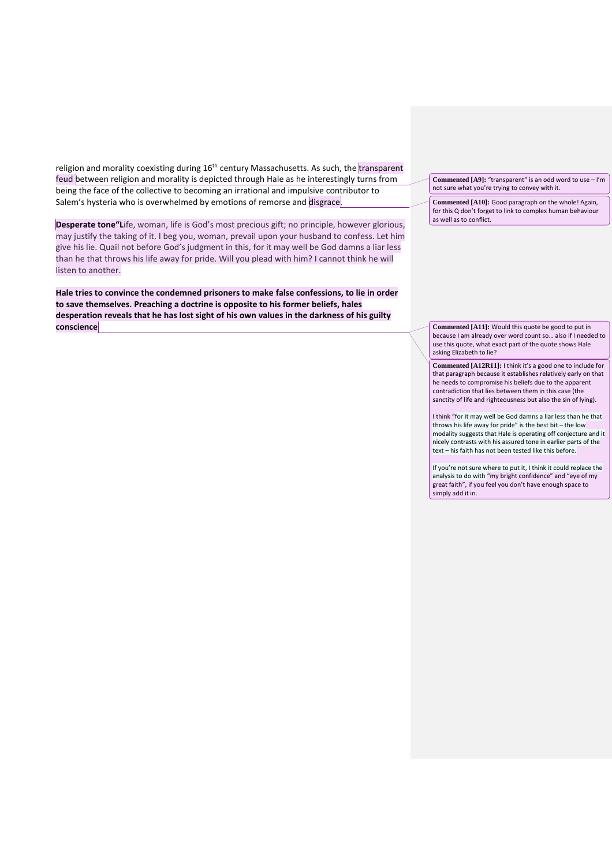religion and morality coexisting during 16<sup>th</sup> century Massachusetts. As such, the transparent feud between religion and morality is depicted through Hale as he interestingly turns from being the face of the collective to becoming an irrational and impulsive contributor to Salem's hysteria who is overwhelmed by emotions of remorse and disgrace.

**Desperate tone"L**ife, woman, life is God's most precious gift; no principle, however glorious, may justify the taking of it. I beg you, woman, prevail upon your husband to confess. Let him give his lie. Quail not before God's judgment in this, for it may well be God damns a liar less than he that throws his life away for pride. Will you plead with him? I cannot think he will listen to another.

**Hale tries to convince the condemned prisoners to make false confessions, to lie in order to save themselves. Preaching a doctrine is opposite to his former beliefs, hales desperation reveals that he has lost sight of his own values in the darkness of his guilty conscience**

**Commented [A9]:** "transparent" is an odd word to use – I'm not sure what you're trying to convey with it.

**Commented [A10]:** Good paragraph on the whole! Again, for this Q don't forget to link to complex human behaviour as well as to conflict.

**Commented [A11]:** Would this quote be good to put in because I am already over word count so… also if I needed to use this quote, what exact part of the quote shows Hale asking Elizabeth to lie?

**Commented [A12R11]:** I think it's a good one to include for that paragraph because it establishes relatively early on that he needs to compromise his beliefs due to the apparent contradiction that lies between them in this case (the sanctity of life and righteousness but also the sin of lying).

I think "for it may well be God damns a liar less than he that throws his life away for pride" is the best bit – the low modality suggests that Hale is operating off conjecture and it nicely contrasts with his assured tone in earlier parts of the text – his faith has not been tested like this before.

If you're not sure where to put it, I think it could replace the analysis to do with "my bright confidence" and "eye of my great faith", if you feel you don't have enough space to simply add it in.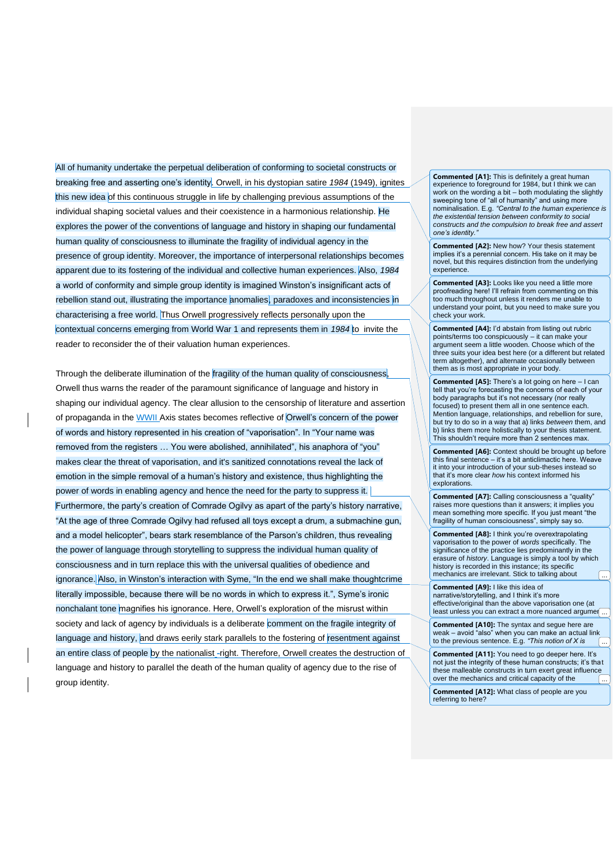All of humanity undertake the perpetual deliberation of conforming to societal constructs or breaking free and asserting one's identity. Orwell, in his dystopian satire *1984* (1949), ignites this new idea of this continuous struggle in life by challenging previous assumptions of the individual shaping societal values and their coexistence in a harmonious relationship. He explores the power of the conventions of language and history in shaping our fundamental human quality of consciousness to illuminate the fragility of individual agency in the presence of group identity. Moreover, the importance of interpersonal relationships becomes apparent due to its fostering of the individual and collective human experiences. Also, *1984* a world of conformity and simple group identity is imagined Winston's insignificant acts of rebellion stand out, illustrating the importance anomalies, paradoxes and inconsistencies in characterising a free world. Thus Orwell progressively reflects personally upon the contextual concerns emerging from World War 1 and represents them in *1984* to invite the reader to reconsider the of their valuation human experiences.

Through the deliberate illumination of the fragility of the human quality of consciousness, Orwell thus warns the reader of the paramount significance of language and history in shaping our individual agency. The clear allusion to the censorship of literature and assertion of propaganda in the WWII Axis states becomes reflective of Orwell's concern of the power of words and history represented in his creation of "vaporisation". In "Your name was removed from the registers … You were abolished, annihilated", his anaphora of "you" makes clear the threat of vaporisation, and it's sanitized connotations reveal the lack of emotion in the simple removal of a human's history and existence, thus highlighting the power of words in enabling agency and hence the need for the party to suppress it. Furthermore, the party's creation of Comrade Ogilvy as apart of the party's history narrative, "At the age of three Comrade Ogilvy had refused all toys except a drum, a submachine gun, and a model helicopter", bears stark resemblance of the Parson's children, thus revealing the power of language through storytelling to suppress the individual human quality of consciousness and in turn replace this with the universal qualities of obedience and ignorance. Also, in Winston's interaction with Syme, "In the end we shall make thoughtcrime literally impossible, because there will be no words in which to express it.", Syme's ironic nonchalant tone magnifies his ignorance. Here, Orwell's exploration of the misrust within society and lack of agency by individuals is a deliberate comment on the fragile integrity of language and history, and draws eerily stark parallels to the fostering of resentment against an entire class of people by the nationalist\_-right. Therefore, Orwell creates the destruction of language and history to parallel the death of the human quality of agency due to the rise of group identity.

**Commented [A1]:** This is definitely a great human experience to foreground for 1984, but I think we can work on the wording a bit – both modulating the slightly sweeping tone of "all of humanity" and using more nominalisation. E.g. *"Central to the human experience is the existential tension between conformity to social constructs and the compulsion to break free and assert one's identity."*

**Commented [A2]:** New how? Your thesis statement implies it's a perennial concern. His take on it may be novel, but this requires distinction from the underlying experience.

**Commented [A3]:** Looks like you need a little more proofreading here! I'll refrain from commenting on this too much throughout unless it renders me unable to understand your point, but you need to make sure you check your work.

**Commented [A4]:** I'd abstain from listing out rubric points/terms too conspicuously – it can make your argument seem a little wooden. Choose which of the three suits your idea best here (or a different but related term altogether), and alternate occasionally between them as is most appropriate in your body.

**Commented [A5]:** There's a lot going on here – I can tell that you're forecasting the concerns of each of your body paragraphs but it's not necessary (nor really focused) to present them all in one sentence each. Mention language, relationships, and rebellion for sure, but try to do so in a way that a) links *between* them, and b) links them more holistically to your thesis statement. This shouldn't require more than 2 sentences max.

**Commented [A6]:** Context should be brought up before this final sentence – it's a bit anticlimactic here. Weave it into your introduction of your sub-theses instead so that it's more clear *how* his context informed his explorations.

**Commented [A7]:** Calling consciousness a "quality" raises more questions than it answers; it implies you mean something more specific. If you just meant "the fragility of human consciousness", simply say so.

**Commented [A8]:** I think you're overextrapolating vaporisation to the power of *words* specifically. The significance of the practice lies predominantly in the erasure of *history*. Language is simply a tool by which history is recorded in this instance; its specific mechanics are irrelevant. Stick to talking about

**Commented [A9]:** I like this idea of narrative/storytelling, and I think it's more effective/original than the above vaporisation one (at least unless you can extract a more nuanced argument

**Commented [A10]:** The syntax and segue here are weak – avoid "also" when you can make an actual link to the previous sentence. E.g. *"This notion of X is* ...

**Commented [A11]:** You need to go deeper here. It's not just the integrity of these human constructs; it's that these malleable constructs in turn exert great influence over the mechanics and critical capacity of the

**Commented [A12]:** What class of people are you referring to here?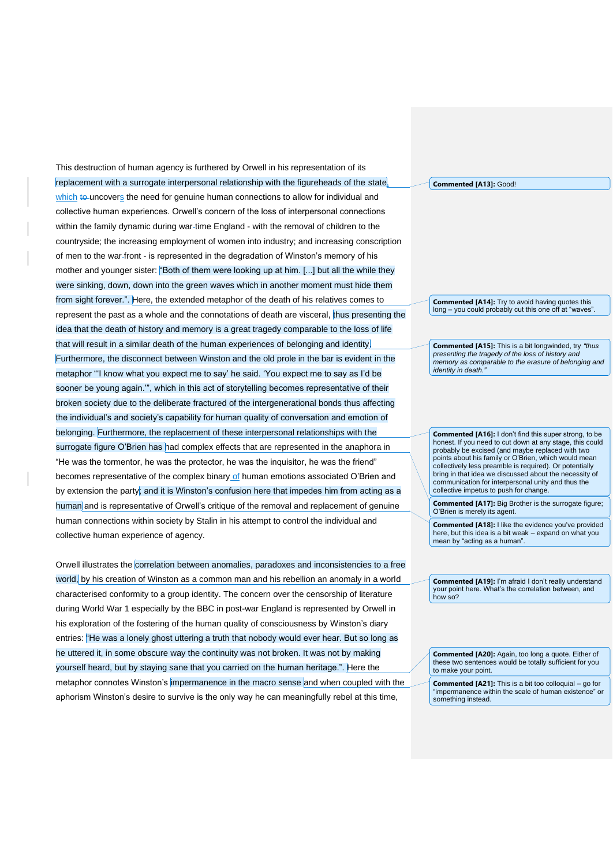This destruction of human agency is furthered by Orwell in his representation of its replacement with a surrogate interpersonal relationship with the figureheads of the state, which to uncovers the need for genuine human connections to allow for individual and collective human experiences. Orwell's concern of the loss of interpersonal connections within the family dynamic during war-time England - with the removal of children to the countryside; the increasing employment of women into industry; and increasing conscription of men to the war front - is represented in the degradation of Winston's memory of his mother and younger sister: "Both of them were looking up at him. [...] but all the while they were sinking, down, down into the green waves which in another moment must hide them from sight forever.". Here, the extended metaphor of the death of his relatives comes to represent the past as a whole and the connotations of death are visceral, thus presenting the idea that the death of history and memory is a great tragedy comparable to the loss of life that will result in a similar death of the human experiences of belonging and identity. Furthermore, the disconnect between Winston and the old prole in the bar is evident in the metaphor "'I know what you expect me to say' he said. 'You expect me to say as I'd be sooner be young again.'", which in this act of storytelling becomes representative of their broken society due to the deliberate fractured of the intergenerational bonds thus affecting the individual's and society's capability for human quality of conversation and emotion of belonging. Furthermore, the replacement of these interpersonal relationships with the surrogate figure O'Brien has had complex effects that are represented in the anaphora in "He was the tormentor, he was the protector, he was the inquisitor, he was the friend" becomes representative of the complex binary of human emotions associated O'Brien and by extension the party; and it is Winston's confusion here that impedes him from acting as a human and is representative of Orwell's critique of the removal and replacement of genuine human connections within society by Stalin in his attempt to control the individual and collective human experience of agency.

Orwell illustrates the correlation between anomalies, paradoxes and inconsistencies to a free world, by his creation of Winston as a common man and his rebellion an anomaly in a world characterised conformity to a group identity. The concern over the censorship of literature during World War 1 especially by the BBC in post-war England is represented by Orwell in his exploration of the fostering of the human quality of consciousness by Winston's diary entries: "He was a lonely ghost uttering a truth that nobody would ever hear. But so long as he uttered it, in some obscure way the continuity was not broken. It was not by making yourself heard, but by staying sane that you carried on the human heritage.". Here the metaphor connotes Winston's impermanence in the macro sense and when coupled with the aphorism Winston's desire to survive is the only way he can meaningfully rebel at this time,

**Commented [A13]:** Good!

**Commented [A14]:** Try to avoid having quotes this long – you could probably cut this one off at "waves".

**Commented [A15]:** This is a bit longwinded, try *"thus presenting the tragedy of the loss of history and memory as comparable to the erasure of belonging and identity in death.* 

**Commented [A16]:** I don't find this super strong, to be honest. If you need to cut down at any stage, this could probably be excised (and maybe replaced with two points about his family or O'Brien, which would mean collectively less preamble is required). Or potentially bring in that idea we discussed about the necessity of communication for interpersonal unity and thus the collective impetus to push for change.

**Commented [A17]:** Big Brother is the surrogate figure; O'Brien is merely its agent.

**Commented [A18]:** I like the evidence you've provided here, but this idea is a bit weak – expand on what you mean by "acting as a human".

**Commented [A19]:** I'm afraid I don't really understand your point here. What's the correlation between, and how so?

**Commented [A20]:** Again, too long a quote. Either of these two sentences would be totally sufficient for you to make your point.

**Commented [A21]:** This is a bit too colloquial – go for "impermanence within the scale of human existence" or something instead.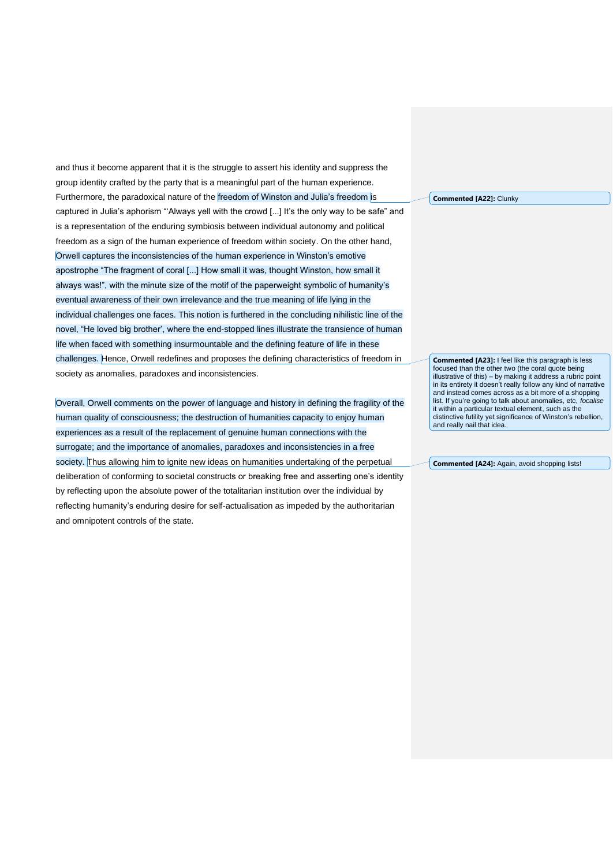and thus it become apparent that it is the struggle to assert his identity and suppress the group identity crafted by the party that is a meaningful part of the human experience. Furthermore, the paradoxical nature of the freedom of Winston and Julia's freedom is captured in Julia's aphorism "'Always yell with the crowd [...] It's the only way to be safe" and is a representation of the enduring symbiosis between individual autonomy and political freedom as a sign of the human experience of freedom within society. On the other hand, Orwell captures the inconsistencies of the human experience in Winston's emotive apostrophe "The fragment of coral [...] How small it was, thought Winston, how small it always was!", with the minute size of the motif of the paperweight symbolic of humanity's eventual awareness of their own irrelevance and the true meaning of life lying in the individual challenges one faces. This notion is furthered in the concluding nihilistic line of the novel, "He loved big brother', where the end-stopped lines illustrate the transience of human life when faced with something insurmountable and the defining feature of life in these challenges. Hence, Orwell redefines and proposes the defining characteristics of freedom in society as anomalies, paradoxes and inconsistencies.

Overall, Orwell comments on the power of language and history in defining the fragility of the human quality of consciousness; the destruction of humanities capacity to enjoy human experiences as a result of the replacement of genuine human connections with the surrogate; and the importance of anomalies, paradoxes and inconsistencies in a free society. Thus allowing him to ignite new ideas on humanities undertaking of the perpetual deliberation of conforming to societal constructs or breaking free and asserting one's identity by reflecting upon the absolute power of the totalitarian institution over the individual by reflecting humanity's enduring desire for self-actualisation as impeded by the authoritarian and omnipotent controls of the state.

**Commented [A22]:** Clunky

**Commented [A23]:** I feel like this paragraph is less focused than the other two (the coral quote being illustrative of this) – by making it address a rubric point in its entirety it doesn't really follow any kind of narrative and instead comes across as a bit more of a shopping list. If you're going to talk about anomalies, etc, *focalise* it within a particular textual element, such as the distinctive futility yet significance of Winston's rebellion, and really nail that idea.

**Commented [A24]:** Again, avoid shopping lists!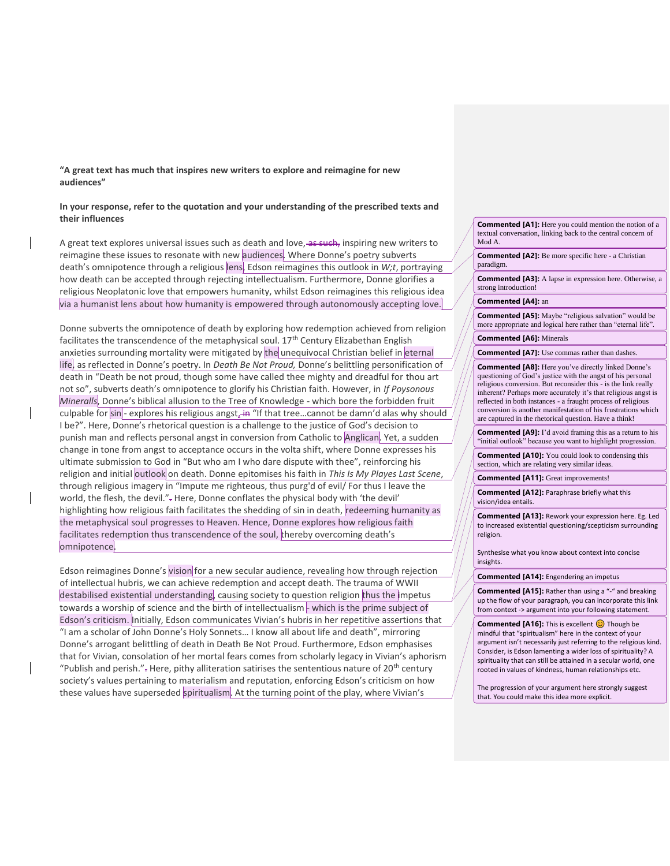**"A great text has much that inspires new writers to explore and reimagine for new audiences"**

## **In your response, refer to the quotation and your understanding of the prescribed texts and their influences**

A great text explores universal issues such as death and love, as such, inspiring new writers to reimagine these issues to resonate with new audiences. Where Donne's poetry subverts death's omnipotence through a religious lens, Edson reimagines this outlook in *W;t*, portraying how death can be accepted through rejecting intellectualism. Furthermore, Donne glorifies a religious Neoplatonic love that empowers humanity, whilst Edson reimagines this religious idea via a humanist lens about how humanity is empowered through autonomously accepting love.

Donne subverts the omnipotence of death by exploring how redemption achieved from religion facilitates the transcendence of the metaphysical soul. 17<sup>th</sup> Century Elizabethan English anxieties surrounding mortality were mitigated by the unequivocal Christian belief in eternal life, as reflected in Donne's poetry. In *Death Be Not Proud,* Donne's belittling personification of death in "Death be not proud, though some have called thee mighty and dreadful for thou art not so", subverts death's omnipotence to glorify his Christian faith. However, in *If Poysonous Mineralls*, Donne's biblical allusion to the Tree of Knowledge - which bore the forbidden fruit culpable for  $sin$  - explores his religious angst, in "If that tree...cannot be damn'd alas why should I be?". Here, Donne's rhetorical question is a challenge to the justice of God's decision to punish man and reflects personal angst in conversion from Catholic to Anglican. Yet, a sudden change in tone from angst to acceptance occurs in the volta shift, where Donne expresses his ultimate submission to God in "But who am I who dare dispute with thee", reinforcing his religion and initial outlook on death. Donne epitomises his faith in *This Is My Playes Last Scene*, through religious imagery in "Impute me righteous, thus purg'd of evil/ For thus I leave the world, the flesh, the devil."- Here, Donne conflates the physical body with 'the devil' highlighting how religious faith facilitates the shedding of sin in death, redeeming humanity as the metaphysical soul progresses to Heaven. Hence, Donne explores how religious faith facilitates redemption thus transcendence of the soul, thereby overcoming death's omnipotence.

Edson reimagines Donne's vision for a new secular audience, revealing how through rejection of intellectual hubris, we can achieve redemption and accept death. The trauma of WWII destabilised existential understanding, causing society to question religion thus the impetus towards a worship of science and the birth of intellectualism - which is the prime subject of Edson's criticism. Initially, Edson communicates Vivian's hubris in her repetitive assertions that "I am a scholar of John Donne's Holy Sonnets… I know all about life and death", mirroring Donne's arrogant belittling of death in Death Be Not Proud. Furthermore, Edson emphasises that for Vivian, consolation of her mortal fears comes from scholarly legacy in Vivian's aphorism "Publish and perish." $\div$  Here, pithy alliteration satirises the sententious nature of 20<sup>th</sup> century society's values pertaining to materialism and reputation, enforcing Edson's criticism on how these values have superseded spiritualism. At the turning point of the play, where Vivian's

**Commented [A1]:** Here you could mention the notion of a textual conversation, linking back to the central concern of Mod A.

**Commented [A2]:** Be more specific here - a Christian paradigm.

**Commented [A3]:** A lapse in expression here. Otherwise, a strong introduction!

#### **Commented [A4]:** an

**Commented [A5]:** Maybe "religious salvation" would be more appropriate and logical here rather than "eternal life".

**Commented [A6]:** Minerals

**Commented [A7]:** Use commas rather than dashes.

**Commented [A8]:** Here you've directly linked Donne's questioning of God's justice with the angst of his personal religious conversion. But reconsider this - is the link really inherent? Perhaps more accurately it's that religious angst is reflected in both instances - a fraught process of religious conversion is another manifestation of his frustrations which are captured in the rhetorical question. Have a think!

**Commented [A9]:** I'd avoid framing this as a return to his "initial outlook" because you want to highlight progression.

**Commented [A10]:** You could look to condensing this section, which are relating very similar ideas.

**Commented [A11]:** Great improvements!

**Commented [A12]:** Paraphrase briefly what this vision/idea entails.

**Commented [A13]:** Rework your expression here. Eg. Led to increased existential questioning/scepticism surrounding religion.

Synthesise what you know about context into concise insights.

**Commented [A14]:** Engendering an impetus

**Commented [A15]:** Rather than using a "-" and breaking up the flow of your paragraph, you can incorporate this link from context -> argument into your following statement.

**Commented [A16]:** This is excellent  $\odot$  Though be mindful that "spiritualism" here in the context of your argument isn't necessarily just referring to the religious kind. Consider, is Edson lamenting a wider loss of spirituality? A spirituality that can still be attained in a secular world, one rooted in values of kindness, human relationships etc.

The progression of your argument here strongly suggest that. You could make this idea more explicit.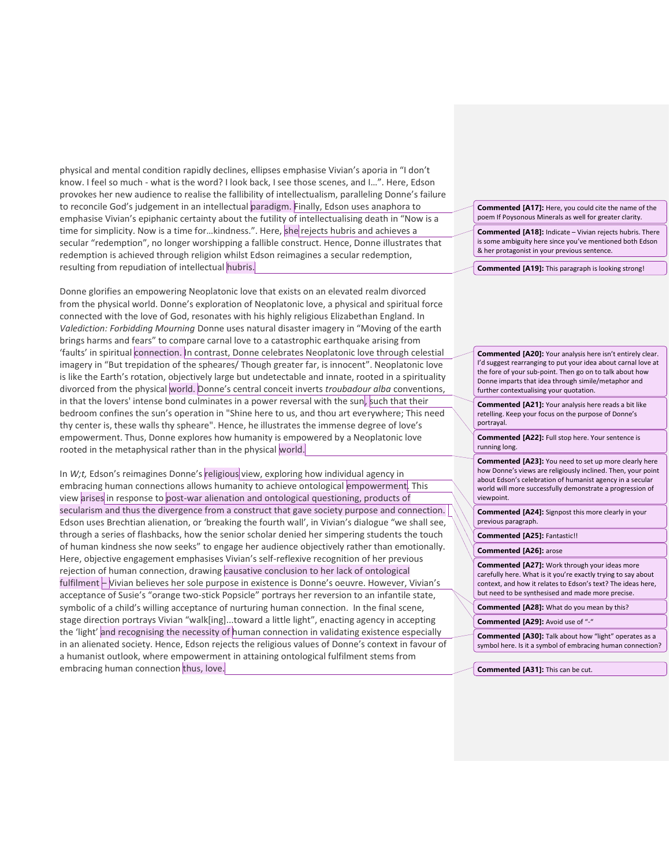physical and mental condition rapidly declines, ellipses emphasise Vivian's aporia in "I don't know. I feel so much - what is the word? I look back, I see those scenes, and I…". Here, Edson provokes her new audience to realise the fallibility of intellectualism, paralleling Donne's failure to reconcile God's judgement in an intellectual paradigm. Finally, Edson uses anaphora to emphasise Vivian's epiphanic certainty about the futility of intellectualising death in "Now is a time for simplicity. Now is a time for...kindness.". Here, she rejects hubris and achieves a secular "redemption", no longer worshipping a fallible construct. Hence, Donne illustrates that redemption is achieved through religion whilst Edson reimagines a secular redemption, resulting from repudiation of intellectual hubris.

Donne glorifies an empowering Neoplatonic love that exists on an elevated realm divorced from the physical world. Donne's exploration of Neoplatonic love, a physical and spiritual force connected with the love of God, resonates with his highly religious Elizabethan England. In *Valediction: Forbidding Mourning* Donne uses natural disaster imagery in "Moving of the earth brings harms and fears" to compare carnal love to a catastrophic earthquake arising from 'faults' in spiritual connection. In contrast, Donne celebrates Neoplatonic love through celestial imagery in "But trepidation of the spheares/ Though greater far, is innocent". Neoplatonic love is like the Earth's rotation, objectively large but undetectable and innate, rooted in a spirituality divorced from the physical world. Donne's central conceit inverts *troubadour alba* conventions, in that the lovers' intense bond culminates in a power reversal with the sun, such that their bedroom confines the sun's operation in "Shine here to us, and thou art everywhere; This need thy center is, these walls thy spheare". Hence, he illustrates the immense degree of love's empowerment. Thus, Donne explores how humanity is empowered by a Neoplatonic love rooted in the metaphysical rather than in the physical world.

In *W;t*, Edson's reimagines Donne's religious view, exploring how individual agency in embracing human connections allows humanity to achieve ontological empowerment. This view arises in response to post-war alienation and ontological questioning, products of secularism and thus the divergence from a construct that gave society purpose and connection. Edson uses Brechtian alienation, or 'breaking the fourth wall', in Vivian's dialogue "we shall see, through a series of flashbacks, how the senior scholar denied her simpering students the touch of human kindness she now seeks" to engage her audience objectively rather than emotionally. Here, objective engagement emphasises Vivian's self-reflexive recognition of her previous rejection of human connection, drawing causative conclusion to her lack of ontological fulfilment – Vivian believes her sole purpose in existence is Donne's oeuvre. However, Vivian's acceptance of Susie's "orange two-stick Popsicle" portrays her reversion to an infantile state, symbolic of a child's willing acceptance of nurturing human connection. In the final scene, stage direction portrays Vivian "walk[ing]...toward a little light", enacting agency in accepting the 'light' and recognising the necessity of human connection in validating existence especially in an alienated society. Hence, Edson rejects the religious values of Donne's context in favour of a humanist outlook, where empowerment in attaining ontological fulfilment stems from embracing human connection thus, love.

**Commented [A17]:** Here, you could cite the name of the poem If Poysonous Minerals as well for greater clarity.

**Commented [A18]:** Indicate – Vivian rejects hubris. There is some ambiguity here since you've mentioned both Edson & her protagonist in your previous sentence.

**Commented [A19]:** This paragraph is looking strong!

**Commented [A20]:** Your analysis here isn't entirely clear. I'd suggest rearranging to put your idea about carnal love at the fore of your sub-point. Then go on to talk about how Donne imparts that idea through simile/metaphor and further contextualising your quotation.

**Commented [A21]:** Your analysis here reads a bit like retelling. Keep your focus on the purpose of Donne's portrayal.

**Commented [A22]:** Full stop here. Your sentence is running long.

**Commented [A23]:** You need to set up more clearly here how Donne's views are religiously inclined. Then, your point about Edson's celebration of humanist agency in a secular world will more successfully demonstrate a progression of viewpoint.

**Commented [A24]:** Signpost this more clearly in your previous paragraph.

**Commented [A25]:** Fantastic!!

**Commented [A26]:** arose

**Commented [A27]:** Work through your ideas more carefully here. What is it you're exactly trying to say about context, and how it relates to Edson's text? The ideas here, but need to be synthesised and made more precise.

**Commented [A28]:** What do you mean by this?

**Commented [A29]:** Avoid use of "-"

**Commented [A30]:** Talk about how "light" operates as a symbol here. Is it a symbol of embracing human connection?

**Commented [A31]:** This can be cut.